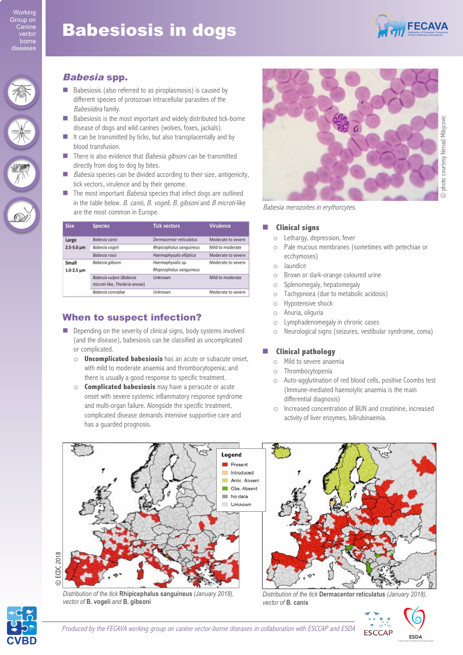# **Babesiosis in dogs**



### Babesia spp.

- Babesiosis (also referred to as piroplasmosis) is caused by different species of protozoan intracellular parasites of the Babesiidea family.
- Babesiosis is the most important and widely distributed tick-borne disease of dogs and wild canines (wolves, foxes, jackals).
- $\blacksquare$  It can be transmitted by ticks, but also transplacentally and by blood transfusion.
- $\blacksquare$  There is also evidence that *Babesia gibsoni* can be transmitted directly from dog to dog by bites.
- Babesia species can be divided according to their size, antigenicity, tick vectors, virulence and by their genome.
- $\blacksquare$  The most important *Babesia* species that infect dogs are outlined in the table below. B. canis, B. vogeli, B. gibsoni and B microti-like are the most common in Europe.

| <b>Size</b>                  | <b>Species</b>                                            | <b>Tick vectors</b>                           | <b>Virulence</b>   |
|------------------------------|-----------------------------------------------------------|-----------------------------------------------|--------------------|
| Large<br>$2.5 - 5.0 \mu m$   | <b>Babesia</b> canis                                      | Dermacentor reticulatus                       | Moderate to severe |
|                              | Babesia vogeli                                            | Rhipicephalus sanguineus                      | Mild to moderate   |
|                              | Babesia rossi                                             | Haemaphysalis elliptica                       | Moderate to severe |
| Small<br>$1.0 - 2.5 \,\mu m$ | Babesia gibsoni                                           | Haemaphysalis sp.<br>Rhipicephalus sanguineus | Moderate to severe |
|                              | Babesia vulpes (Babesia<br>microti-like, Theileria annae) | Unknown                                       | Mild to moderate   |
|                              | Babesia conradae                                          | Unknown                                       | Moderate to severe |

# When to suspect infection?

- $\blacksquare$  Depending on the severity of clinical signs, body systems involved (and the disease), babesiosis can be classified as uncomplicated or complicated.
	- o **Uncomplicated babesiosis** has an acute or subacute onset, with mild to moderate anaemia and thrombocytopenia; and there is usually a good response to specific treatment.
	- o **Complicated babesiosis** may have a peracute or acute onset with severe systemic inflammatory response syndrome and multi-organ failure. Alongside the specific treatment, complicated disease demands intensive supportive care and has a guarded prognosis.



Babesia merozoites in erythorcytes.

#### ! **Clinical signs**

- o Lethargy, depression, fever
- o Pale mucous membranes (sometimes with petechiae or ecchymoses)
- o Jaundice
- o Brown or dark-orange coloured urine
- o Splenomegaly, hepatomegaly
- o Tachypnoea (due to metabolic acidosis)
- o Hypotensive shock
- o Anuria, oliguria
- o Lymphadenomegaly in chronic cases
- o Neurological signs (seizures, vestibular syndrome, coma)

### ! **Clinical pathology**

- o Mild to severe anaemia
- o Thrombocytopenia
- o Auto-agglutination of red blood cells, positive Coombs test (Immune-mediated haemolytic anaemia is the main differential diagnosis)
- o Increased concentration of BUN and creatinine, increased activity of liver enzymes, bilirubinaemia.



*Distribution of the tick* **Rhipicephalus sanguineus** *(January 2018), vector of* **B. vogeli** *and* **B. gibsoni**

*Distribution of the tick* **Dermacentor reticulatus** *(January 2018), vector of* **B. canis**